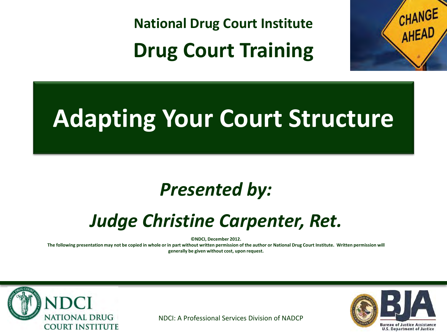**National Drug Court Institute Drug Court Training**



## **Adapting Your Court Structure**

#### *Presented by:*

#### *Judge Christine Carpenter, Ret.*

**©NDCI, December 2012.** 

**The following presentation may not be copied in whole or in part without written permission of the author or National Drug Court Institute. Written permission will generally be given without cost, upon request.**



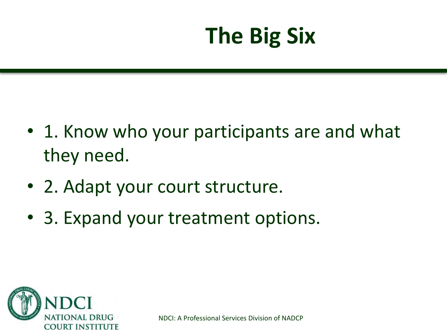## **The Big Six**

- 1. Know who your participants are and what they need.
- 2. Adapt your court structure.
- 3. Expand your treatment options.

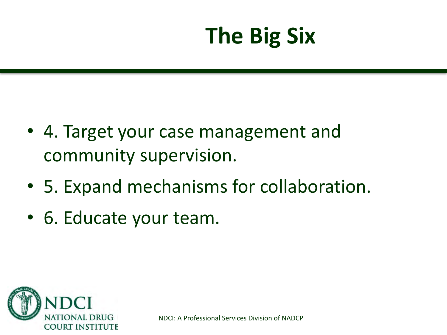## **The Big Six**

- 4. Target your case management and community supervision.
- 5. Expand mechanisms for collaboration.
- 6. Educate your team.

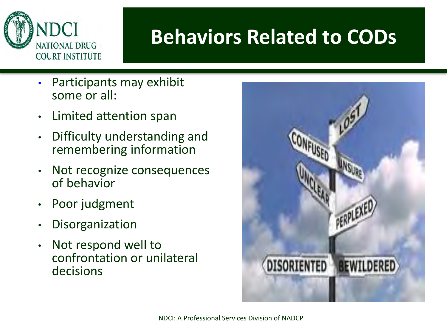

#### **Behaviors Related to CODs**

- Participants may exhibit some or all:
- Limited attention span
- Difficulty understanding and remembering information
- Not recognize consequences of behavior
- Poor judgment
- Disorganization
- Not respond well to confrontation or unilateral decisions

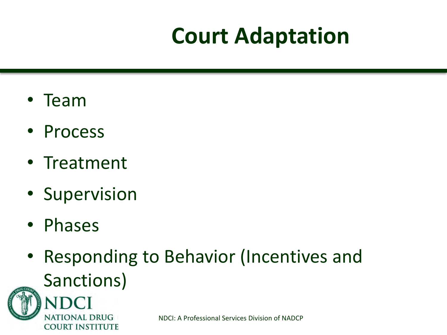## **Court Adaptation**

- Team
- Process
- Treatment
- Supervision
- Phases
- Responding to Behavior (Incentives and Sanctions)

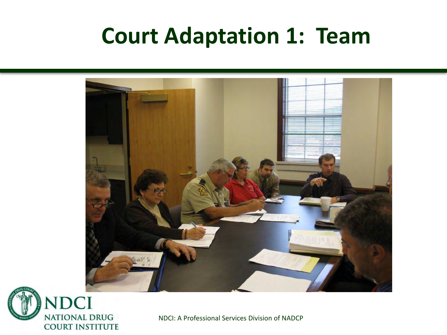#### **Court Adaptation 1: Team**



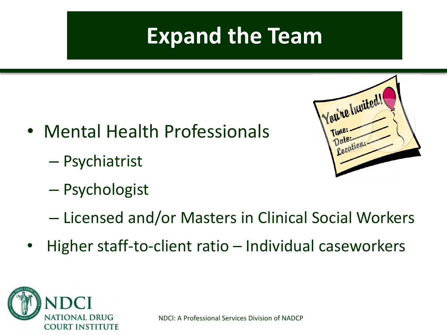#### **Expand the Team**

- Mental Health Professionals
	- Psychiatrist
	- Psychologist



- Licensed and/or Masters in Clinical Social Workers
- Higher staff-to-client ratio Individual caseworkers

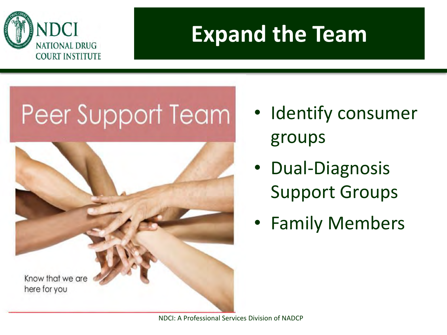

#### **Expand the Team**

# Peer Support Team



- Identify consumer groups
- Dual-Diagnosis Support Groups
- Family Members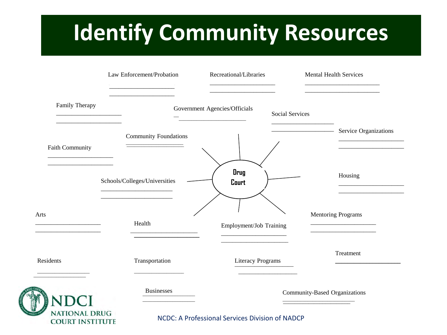#### **INVENTORY: MAPPING COMMUNITY Estimative** is **Identify Community Resources**

|                                                | Law Enforcement/Probation                                   | Recreational/Libraries                                                   | <b>Mental Health Services</b>                                              |  |
|------------------------------------------------|-------------------------------------------------------------|--------------------------------------------------------------------------|----------------------------------------------------------------------------|--|
| Family Therapy                                 |                                                             | Government Agencies/Officials<br><u> 1989 - Johann Barbara, martxa a</u> | <b>Social Services</b>                                                     |  |
| <b>Faith Community</b>                         | <b>Community Foundations</b>                                |                                                                          | Service Organizations<br><u> 1989 - Johann Barbara, martin amerikan ba</u> |  |
|                                                | Schools/Colleges/Universities                               | Drug<br>Court                                                            | Housing                                                                    |  |
| Arts                                           | <u> 1980 - Johann Barbara, martxa alemaniar a</u><br>Health | Employment/Job Training                                                  | <b>Mentoring Programs</b>                                                  |  |
| Residents                                      | Transportation                                              | <b>Literacy Programs</b>                                                 | Treatment                                                                  |  |
|                                                | <b>Businesses</b>                                           |                                                                          | Community-Based Organizations                                              |  |
| <b>NATIONAL DRUG</b><br><b>COURT INSTITUTE</b> |                                                             | NCDC: A Professional Services Division of NADCP                          |                                                                            |  |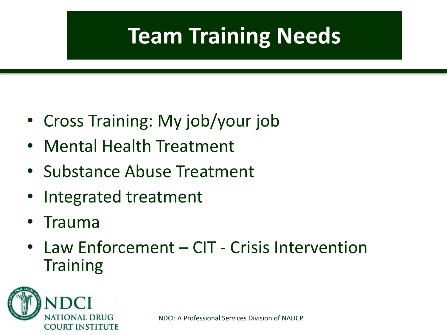## **Team Training Needs**

- Cross Training: My job/your job
- Mental Health Treatment
- Substance Abuse Treatment
- Integrated treatment
- Trauma
- Law Enforcement CIT Crisis Intervention **Training**

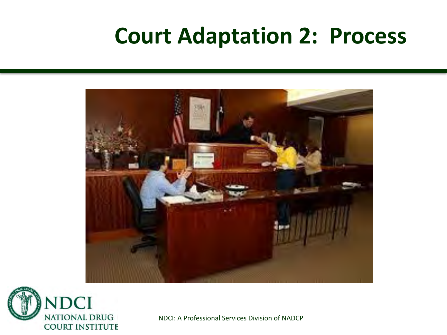#### **Court Adaptation 2: Process**



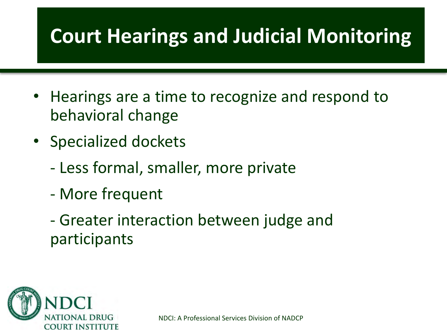#### **Court Hearings and Judicial Monitoring**

- Hearings are a time to recognize and respond to behavioral change
- Specialized dockets
	- Less formal, smaller, more private
	- More frequent
	- Greater interaction between judge and participants

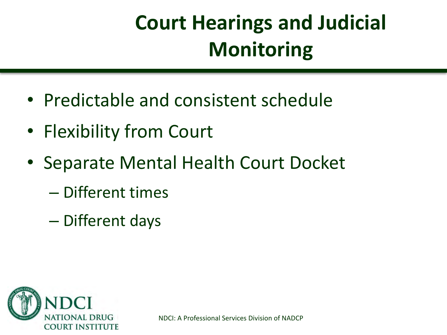## **Court Hearings and Judicial Monitoring**

- Predictable and consistent schedule
- Flexibility from Court
- Separate Mental Health Court Docket
	- Different times
	- Different days

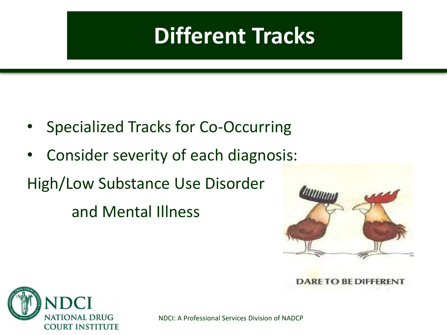#### **Different Tracks**

- Specialized Tracks for Co-Occurring
- Consider severity of each diagnosis:

High/Low Substance Use Disorder

and Mental Illness



**DARE TO BE DIFFER** 

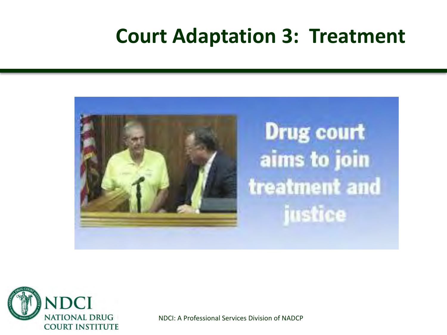#### **Court Adaptation 3: Treatment**



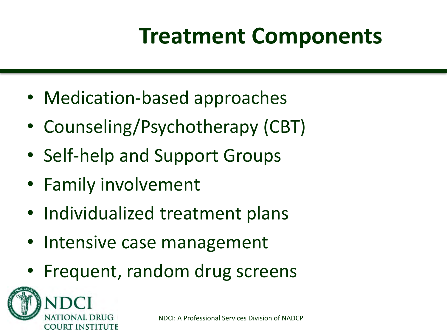## **Treatment Components**

- Medication-based approaches
- Counseling/Psychotherapy (CBT)
- Self-help and Support Groups
- Family involvement
- Individualized treatment plans
- Intensive case management
- Frequent, random drug screens

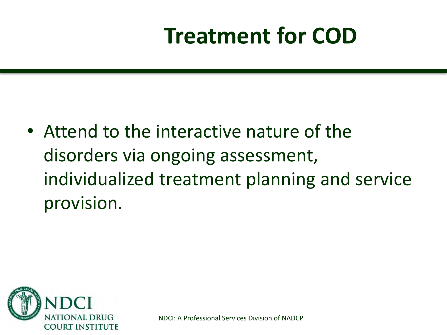• Attend to the interactive nature of the disorders via ongoing assessment, individualized treatment planning and service provision.

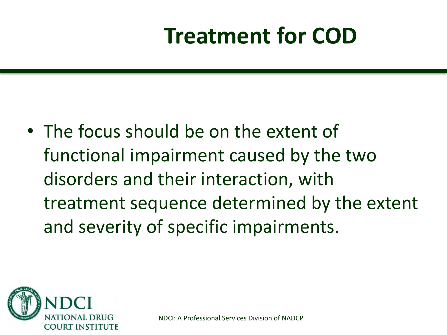• The focus should be on the extent of functional impairment caused by the two disorders and their interaction, with treatment sequence determined by the extent and severity of specific impairments.

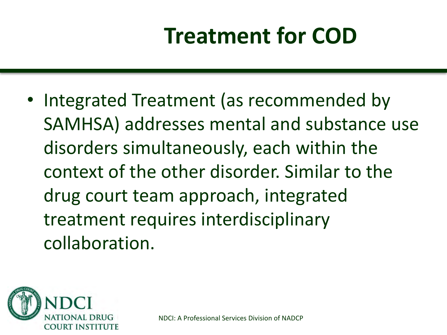• Integrated Treatment (as recommended by SAMHSA) addresses mental and substance use disorders simultaneously, each within the context of the other disorder. Similar to the drug court team approach, integrated treatment requires interdisciplinary collaboration.

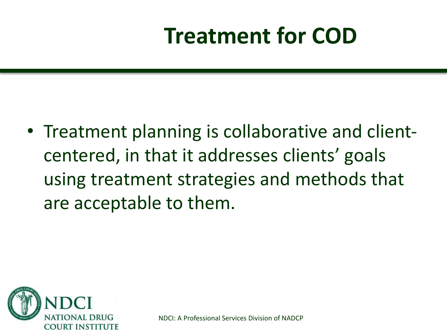• Treatment planning is collaborative and clientcentered, in that it addresses clients' goals using treatment strategies and methods that are acceptable to them.

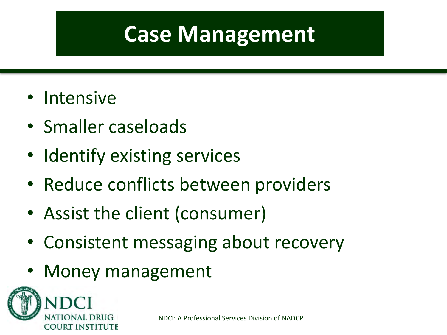#### **Case Management**

- Intensive
- Smaller caseloads
- Identify existing services
- Reduce conflicts between providers
- Assist the client (consumer)
- Consistent messaging about recovery
- Money management

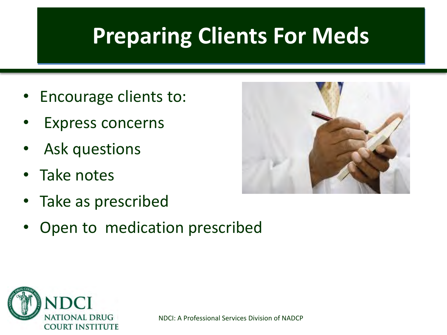#### **Preparing Clients For Meds**

- Encourage clients to:
- Express concerns
- Ask questions
- Take notes
- Take as prescribed
- Open to medication prescribed



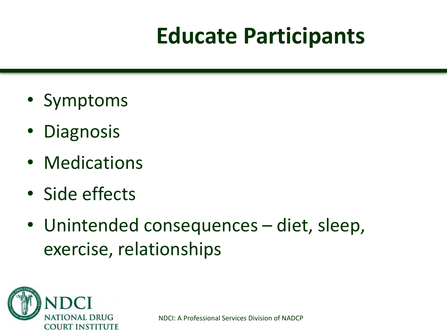## **Educate Participants**

- Symptoms
- Diagnosis
- Medications
- Side effects
- Unintended consequences diet, sleep, exercise, relationships

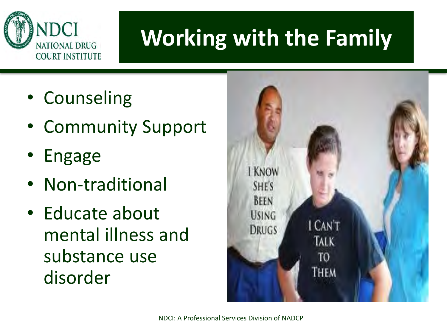

## **Working with the Family**

- Counseling
- Community Support
- Engage
- Non-traditional
- Educate about mental illness and substance use disorder

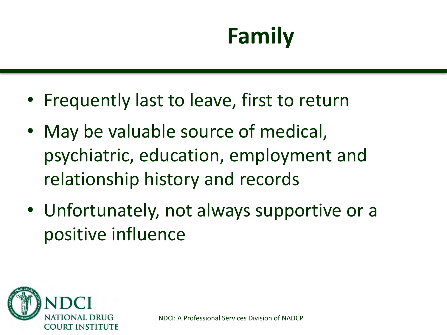## **Family**

- Frequently last to leave, first to return
- May be valuable source of medical, psychiatric, education, employment and relationship history and records
- Unfortunately, not always supportive or a positive influence

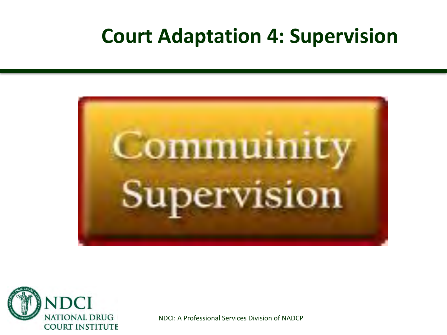#### **Court Adaptation 4: Supervision**



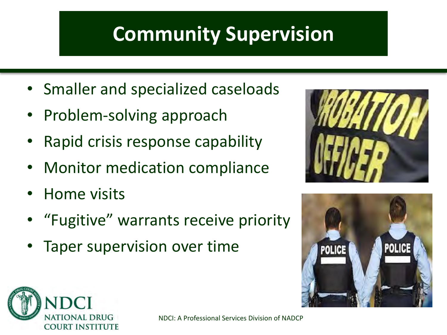#### **Community Supervision**

- Smaller and specialized caseloads
- Problem-solving approach
- Rapid crisis response capability
- Monitor medication compliance
- Home visits
- "Fugitive" warrants receive priority
- Taper supervision over time





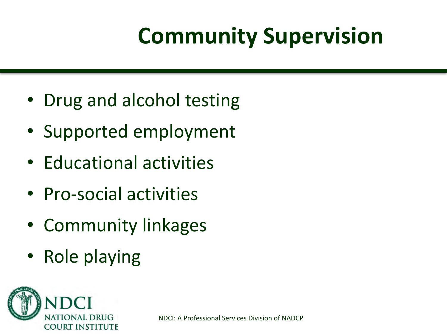## **Community Supervision**

- Drug and alcohol testing
- Supported employment
- Educational activities
- Pro-social activities
- Community linkages
- Role playing

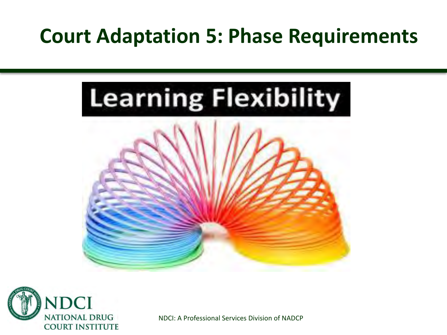#### **Court Adaptation 5: Phase Requirements**



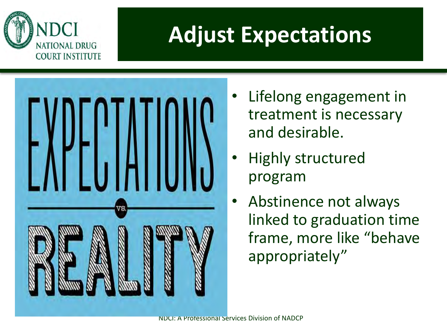

#### **Adjust Expectations**



- Lifelong engagement in treatment is necessary and desirable.
- Highly structured program
- Abstinence not always linked to graduation time frame, more like "behave appropriately"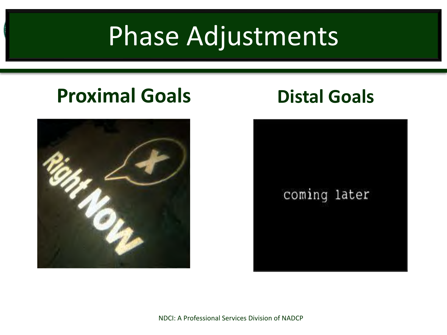## Phase Adjustments

#### **Proximal Goals Distal Goals**



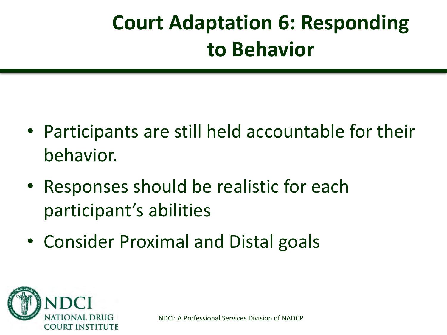#### **Court Adaptation 6: Responding to Behavior**

- Participants are still held accountable for their behavior.
- Responses should be realistic for each participant's abilities
- Consider Proximal and Distal goals

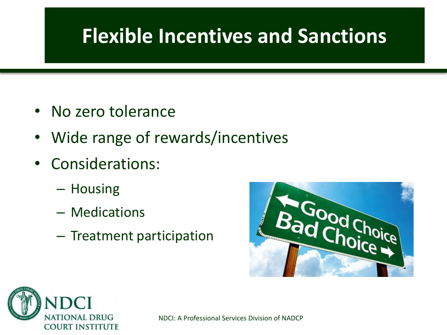#### **Flexible Incentives and Sanctions**

- No zero tolerance
- Wide range of rewards/incentives
- Considerations:
	- Housing
	- Medications
	- Treatment participation



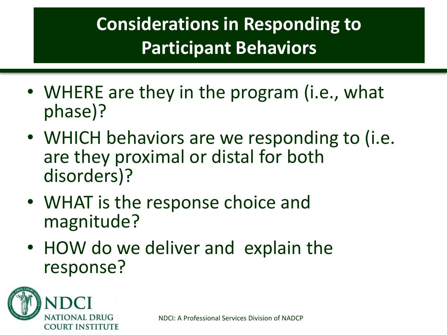#### **Considerations in Responding to Participant Behaviors**

- WHERE are they in the program (i.e., what phase)?
- WHICH behaviors are we responding to (i.e. are they proximal or distal for both disorders)?
- WHAT is the response choice and magnitude?
- HOW do we deliver and explain the response?

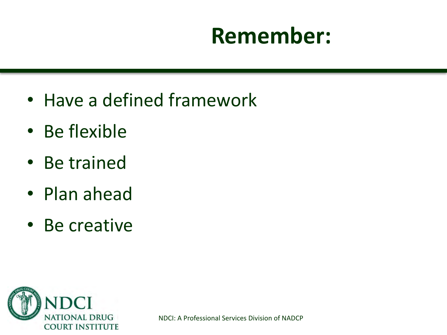#### **Remember:**

- Have a defined framework
- Be flexible
- Be trained
- Plan ahead
- Be creative